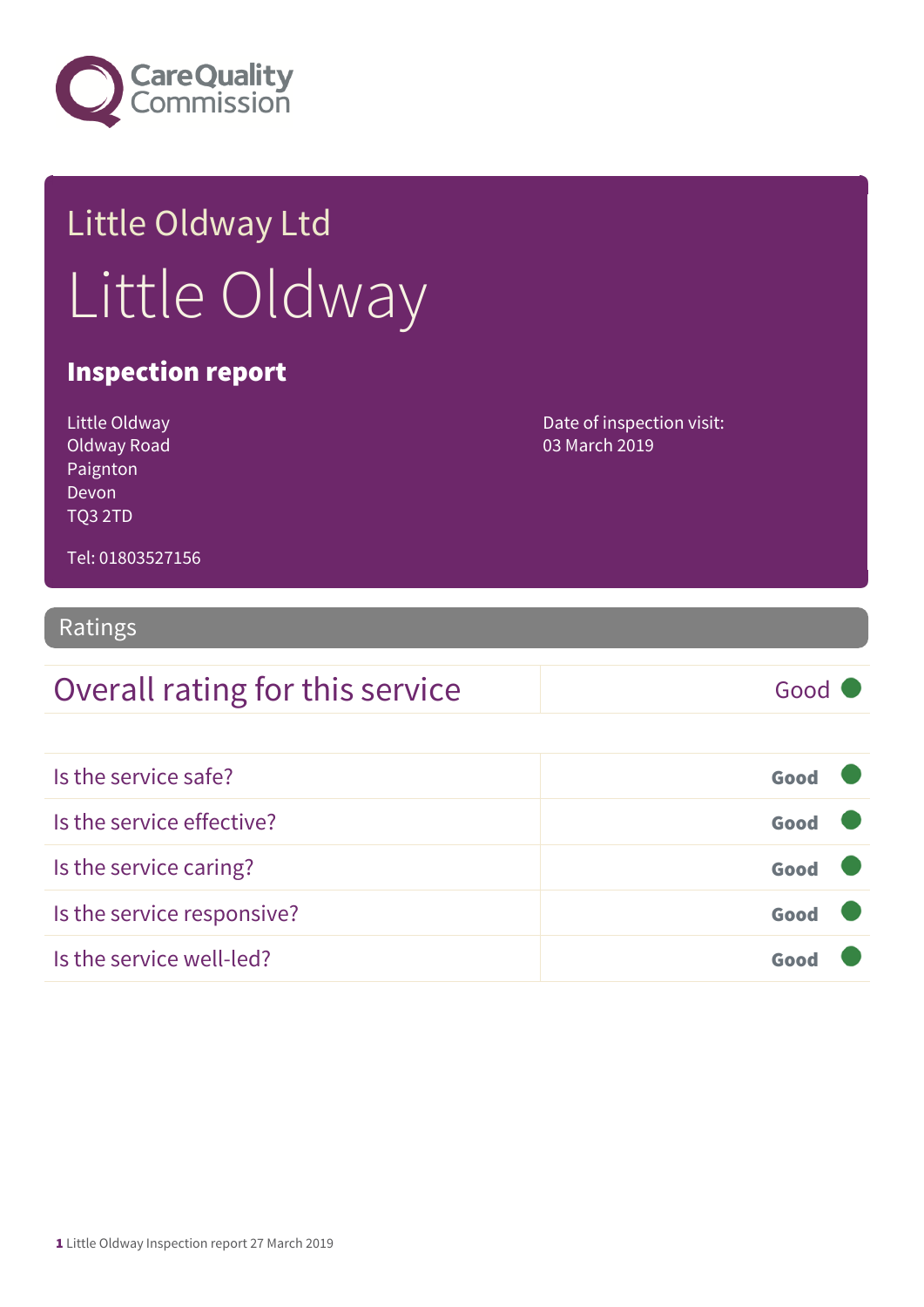

## Little Oldway Ltd Little Oldway

#### Inspection report

| Little Oldway  | Date of inspection visit: |
|----------------|---------------------------|
| Oldway Road    | 03 March 2019             |
| Paignton       |                           |
| Devon          |                           |
| <b>TO3 2TD</b> |                           |
|                |                           |

Tel: 01803527156

#### Ratings

| Overall rating for this service | Good |
|---------------------------------|------|
|                                 |      |
| Is the service safe?            | Good |
| Is the service effective?       | Good |
| Is the service caring?          | Good |
| Is the service responsive?      | Good |
| Is the service well-led?        | Good |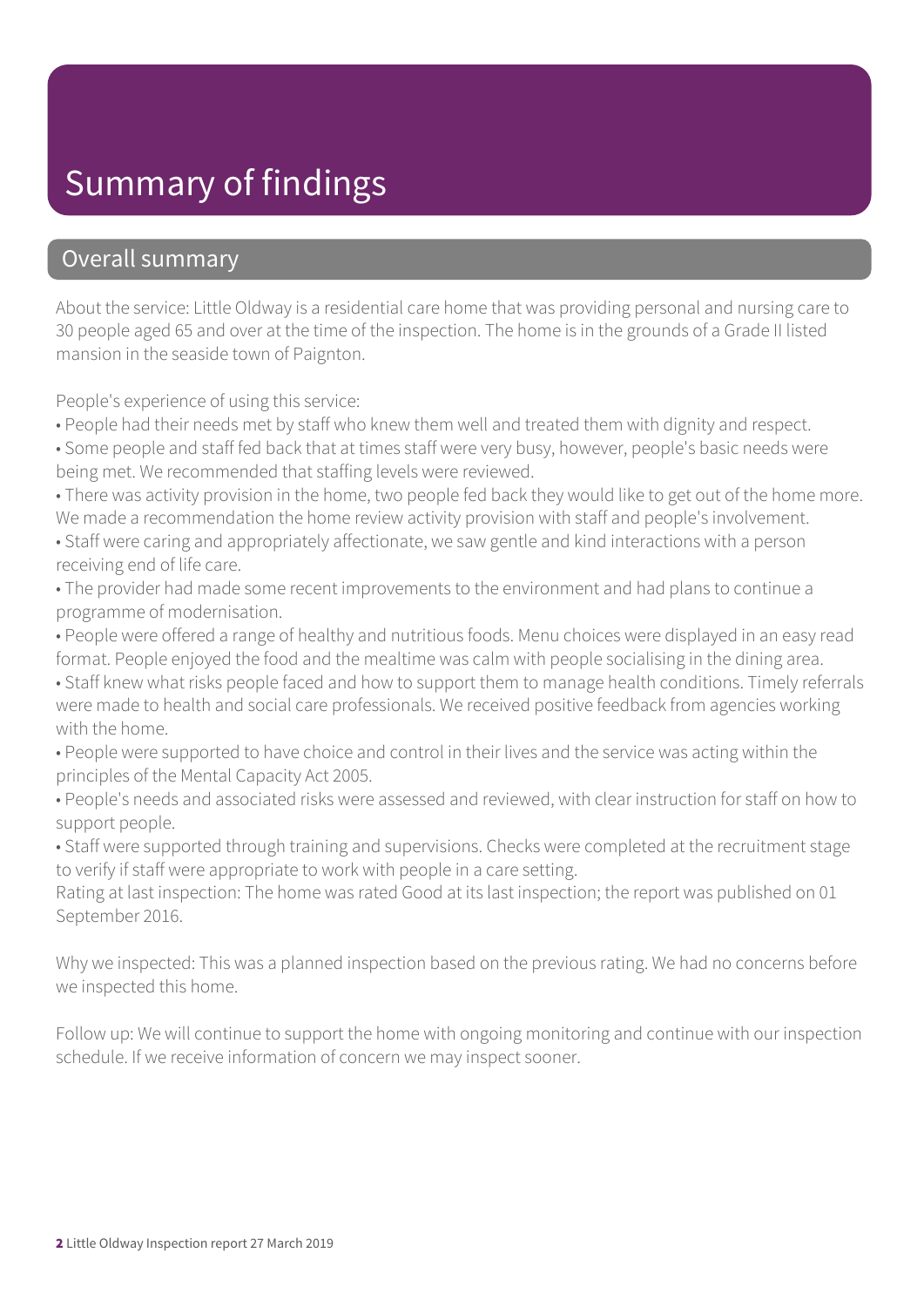### Summary of findings

#### Overall summary

About the service: Little Oldway is a residential care home that was providing personal and nursing care to 30 people aged 65 and over at the time of the inspection. The home is in the grounds of a Grade II listed mansion in the seaside town of Paignton.

People's experience of using this service:

• People had their needs met by staff who knew them well and treated them with dignity and respect.

• Some people and staff fed back that at times staff were very busy, however, people's basic needs were being met. We recommended that staffing levels were reviewed.

• There was activity provision in the home, two people fed back they would like to get out of the home more. We made a recommendation the home review activity provision with staff and people's involvement.

• Staff were caring and appropriately affectionate, we saw gentle and kind interactions with a person receiving end of life care.

• The provider had made some recent improvements to the environment and had plans to continue a programme of modernisation.

• People were offered a range of healthy and nutritious foods. Menu choices were displayed in an easy read format. People enjoyed the food and the mealtime was calm with people socialising in the dining area.

• Staff knew what risks people faced and how to support them to manage health conditions. Timely referrals were made to health and social care professionals. We received positive feedback from agencies working with the home.

• People were supported to have choice and control in their lives and the service was acting within the principles of the Mental Capacity Act 2005.

• People's needs and associated risks were assessed and reviewed, with clear instruction for staff on how to support people.

• Staff were supported through training and supervisions. Checks were completed at the recruitment stage to verify if staff were appropriate to work with people in a care setting.

Rating at last inspection: The home was rated Good at its last inspection; the report was published on 01 September 2016.

Why we inspected: This was a planned inspection based on the previous rating. We had no concerns before we inspected this home.

Follow up: We will continue to support the home with ongoing monitoring and continue with our inspection schedule. If we receive information of concern we may inspect sooner.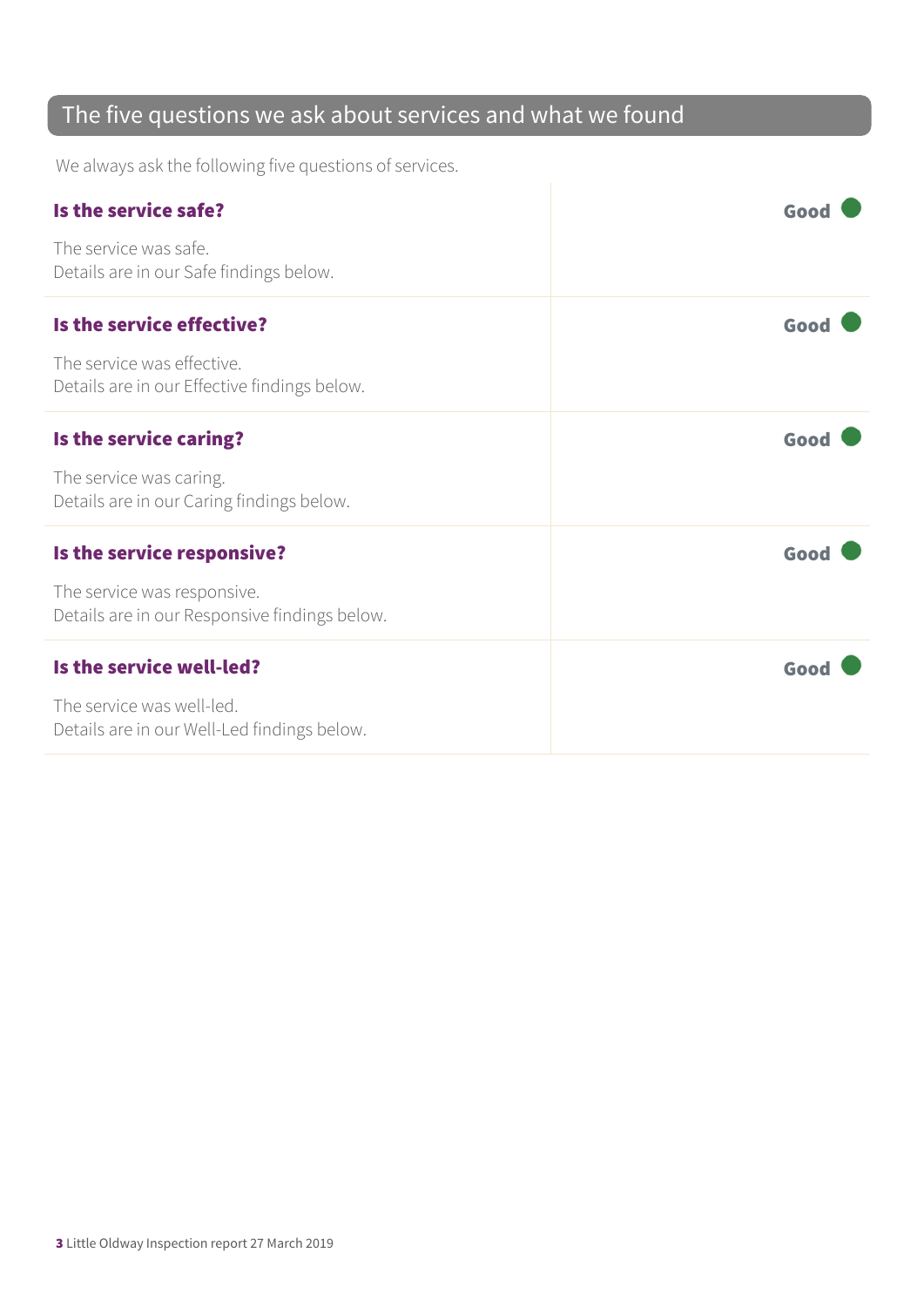### The five questions we ask about services and what we found

We always ask the following five questions of services.

| Is the service safe?                                                         | Good |
|------------------------------------------------------------------------------|------|
| The service was safe.<br>Details are in our Safe findings below.             |      |
| Is the service effective?                                                    | Good |
| The service was effective.<br>Details are in our Effective findings below.   |      |
| Is the service caring?                                                       | Good |
| The service was caring.<br>Details are in our Caring findings below.         |      |
| Is the service responsive?                                                   | Good |
| The service was responsive.<br>Details are in our Responsive findings below. |      |
| Is the service well-led?                                                     | Good |
| The service was well-led.<br>Details are in our Well-Led findings below.     |      |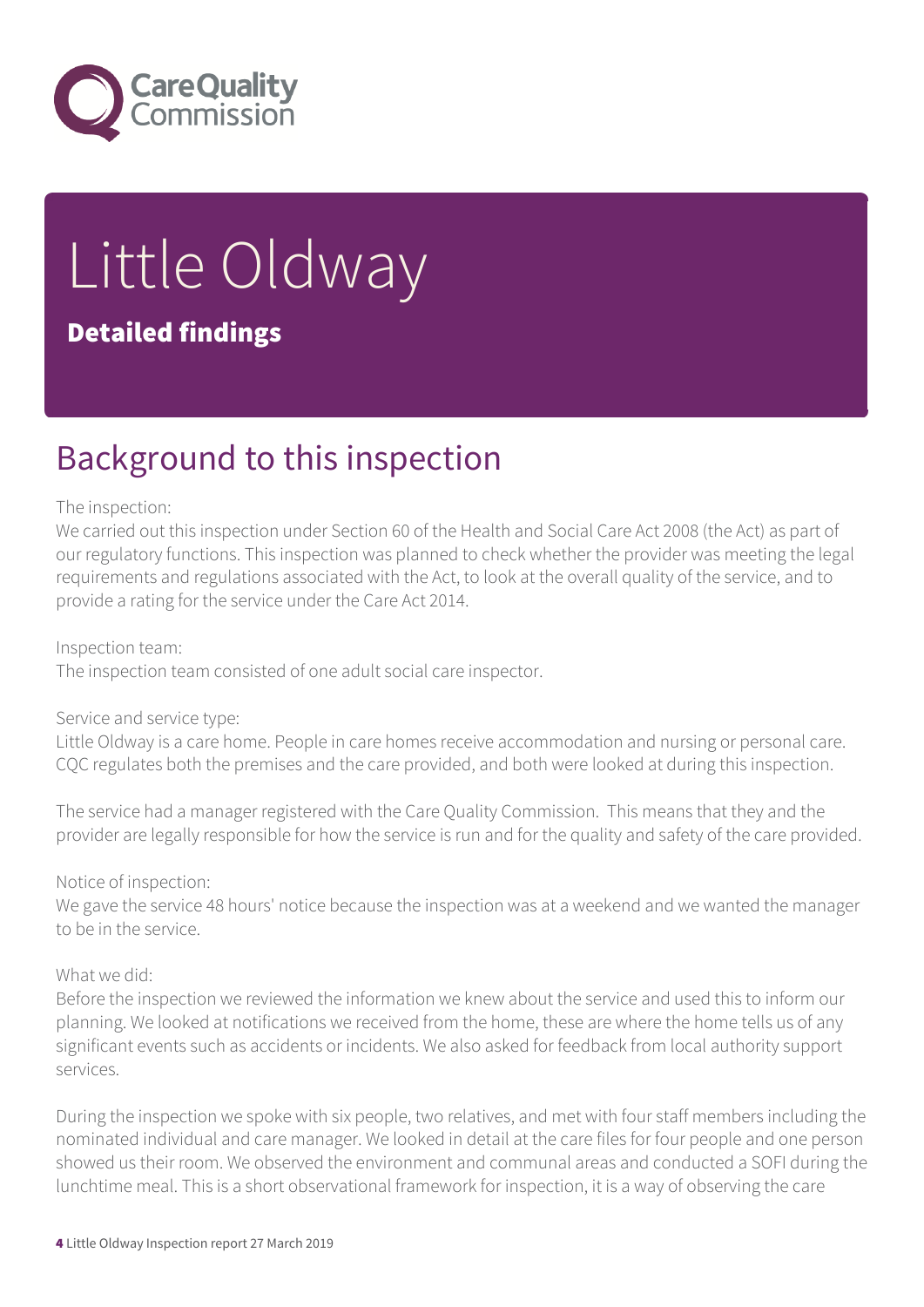

# Little Oldway

#### Detailed findings

### Background to this inspection

#### The inspection:

We carried out this inspection under Section 60 of the Health and Social Care Act 2008 (the Act) as part of our regulatory functions. This inspection was planned to check whether the provider was meeting the legal requirements and regulations associated with the Act, to look at the overall quality of the service, and to provide a rating for the service under the Care Act 2014.

Inspection team:

The inspection team consisted of one adult social care inspector.

Service and service type:

Little Oldway is a care home. People in care homes receive accommodation and nursing or personal care. CQC regulates both the premises and the care provided, and both were looked at during this inspection.

The service had a manager registered with the Care Quality Commission. This means that they and the provider are legally responsible for how the service is run and for the quality and safety of the care provided.

Notice of inspection:

We gave the service 48 hours' notice because the inspection was at a weekend and we wanted the manager to be in the service.

What we did:

Before the inspection we reviewed the information we knew about the service and used this to inform our planning. We looked at notifications we received from the home, these are where the home tells us of any significant events such as accidents or incidents. We also asked for feedback from local authority support services.

During the inspection we spoke with six people, two relatives, and met with four staff members including the nominated individual and care manager. We looked in detail at the care files for four people and one person showed us their room. We observed the environment and communal areas and conducted a SOFI during the lunchtime meal. This is a short observational framework for inspection, it is a way of observing the care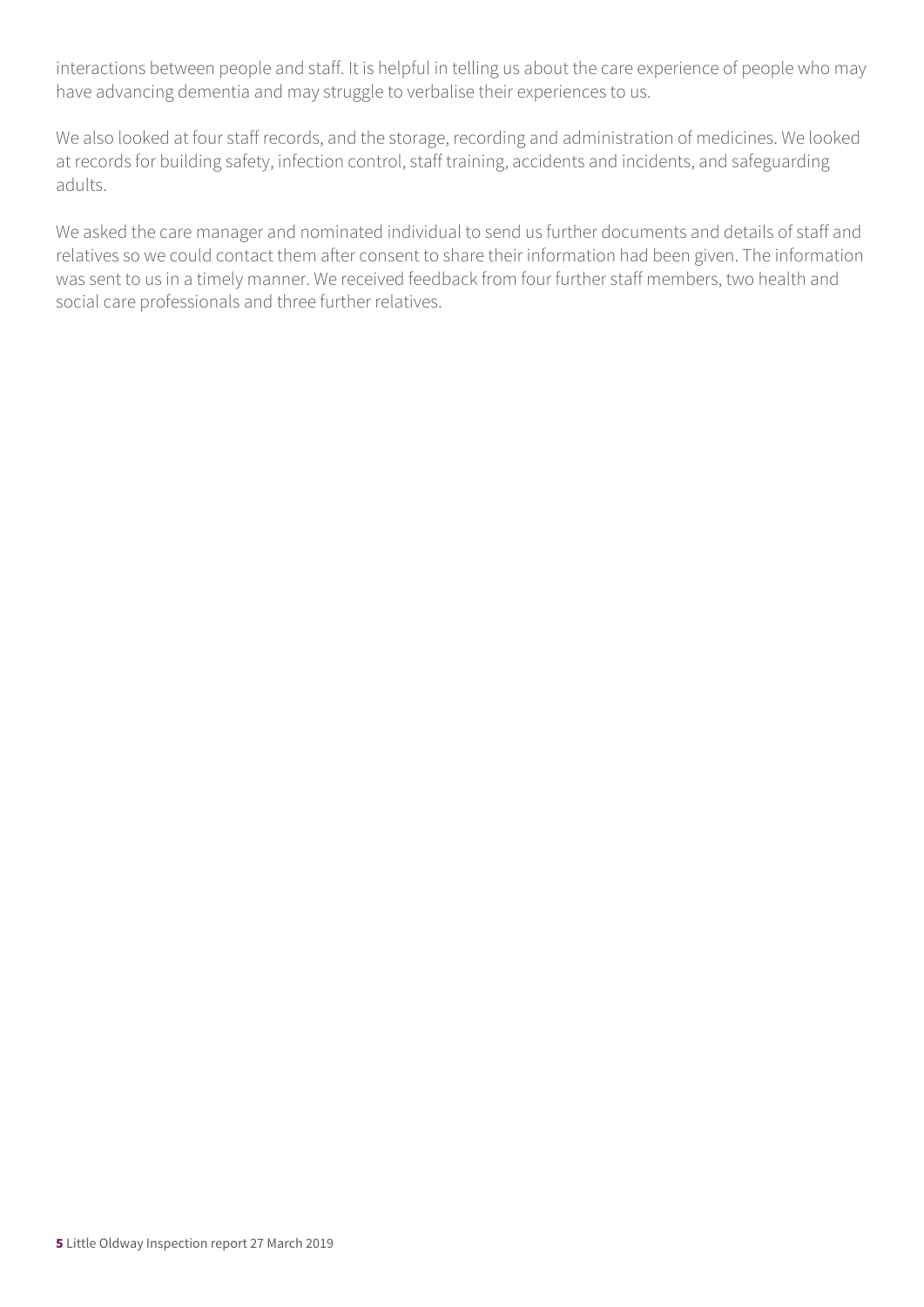interactions between people and staff. It is helpful in telling us about the care experience of people who may have advancing dementia and may struggle to verbalise their experiences to us.

We also looked at four staff records, and the storage, recording and administration of medicines. We looked at records for building safety, infection control, staff training, accidents and incidents, and safeguarding adults.

We asked the care manager and nominated individual to send us further documents and details of staff and relatives so we could contact them after consent to share their information had been given. The information was sent to us in a timely manner. We received feedback from four further staff members, two health and social care professionals and three further relatives.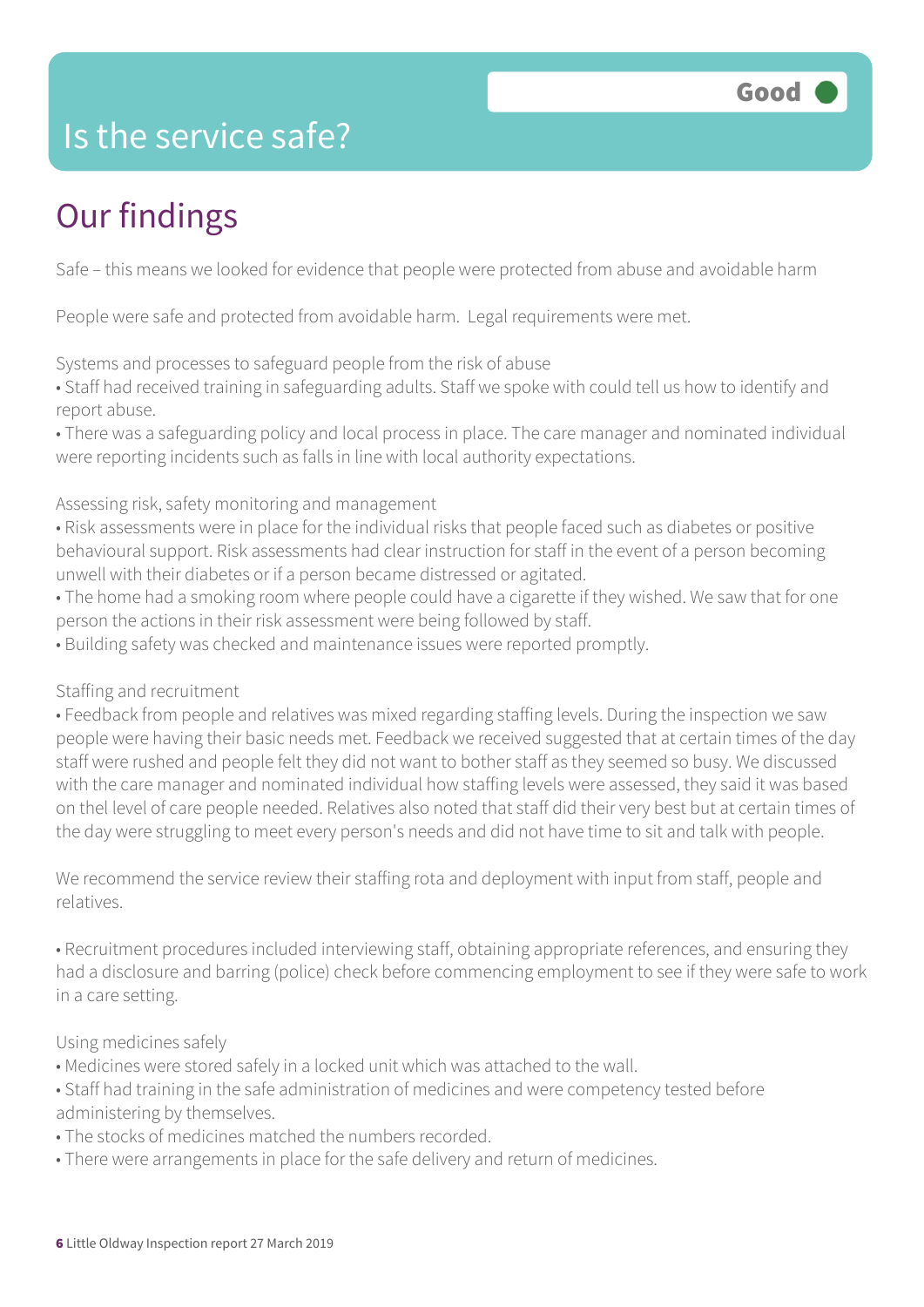

### Is the service safe?

### Our findings

Safe – this means we looked for evidence that people were protected from abuse and avoidable harm

People were safe and protected from avoidable harm. Legal requirements were met.

Systems and processes to safeguard people from the risk of abuse

• Staff had received training in safeguarding adults. Staff we spoke with could tell us how to identify and report abuse.

• There was a safeguarding policy and local process in place. The care manager and nominated individual were reporting incidents such as falls in line with local authority expectations.

Assessing risk, safety monitoring and management

• Risk assessments were in place for the individual risks that people faced such as diabetes or positive behavioural support. Risk assessments had clear instruction for staff in the event of a person becoming unwell with their diabetes or if a person became distressed or agitated.

• The home had a smoking room where people could have a cigarette if they wished. We saw that for one person the actions in their risk assessment were being followed by staff.

• Building safety was checked and maintenance issues were reported promptly.

#### Staffing and recruitment

• Feedback from people and relatives was mixed regarding staffing levels. During the inspection we saw people were having their basic needs met. Feedback we received suggested that at certain times of the day staff were rushed and people felt they did not want to bother staff as they seemed so busy. We discussed with the care manager and nominated individual how staffing levels were assessed, they said it was based on thel level of care people needed. Relatives also noted that staff did their very best but at certain times of the day were struggling to meet every person's needs and did not have time to sit and talk with people.

We recommend the service review their staffing rota and deployment with input from staff, people and relatives.

• Recruitment procedures included interviewing staff, obtaining appropriate references, and ensuring they had a disclosure and barring (police) check before commencing employment to see if they were safe to work in a care setting.

Using medicines safely

- Medicines were stored safely in a locked unit which was attached to the wall.
- Staff had training in the safe administration of medicines and were competency tested before administering by themselves.
- The stocks of medicines matched the numbers recorded.
- There were arrangements in place for the safe delivery and return of medicines.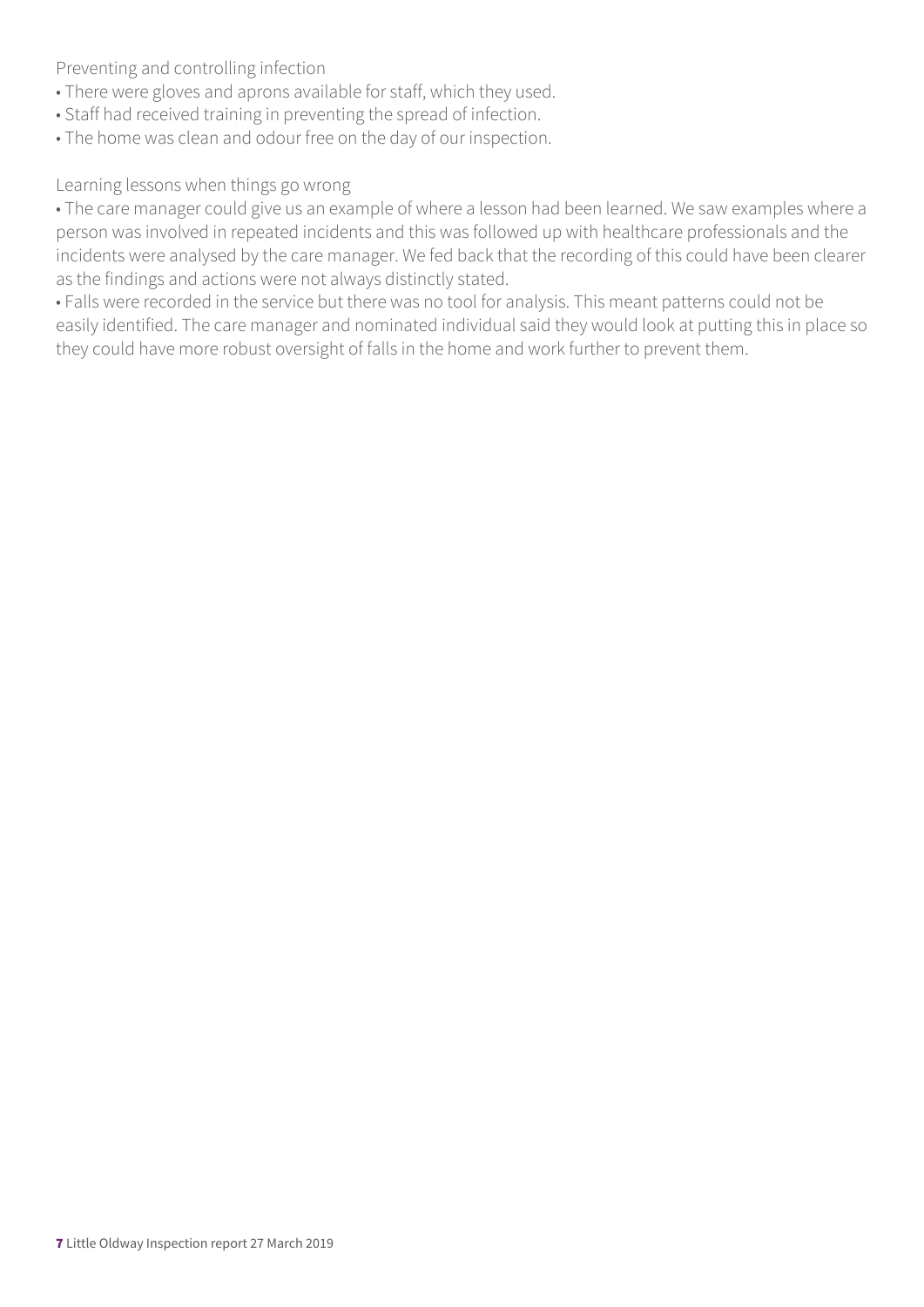Preventing and controlling infection

- There were gloves and aprons available for staff, which they used.
- Staff had received training in preventing the spread of infection.
- The home was clean and odour free on the day of our inspection.

#### Learning lessons when things go wrong

• The care manager could give us an example of where a lesson had been learned. We saw examples where a person was involved in repeated incidents and this was followed up with healthcare professionals and the incidents were analysed by the care manager. We fed back that the recording of this could have been clearer as the findings and actions were not always distinctly stated.

• Falls were recorded in the service but there was no tool for analysis. This meant patterns could not be easily identified. The care manager and nominated individual said they would look at putting this in place so they could have more robust oversight of falls in the home and work further to prevent them.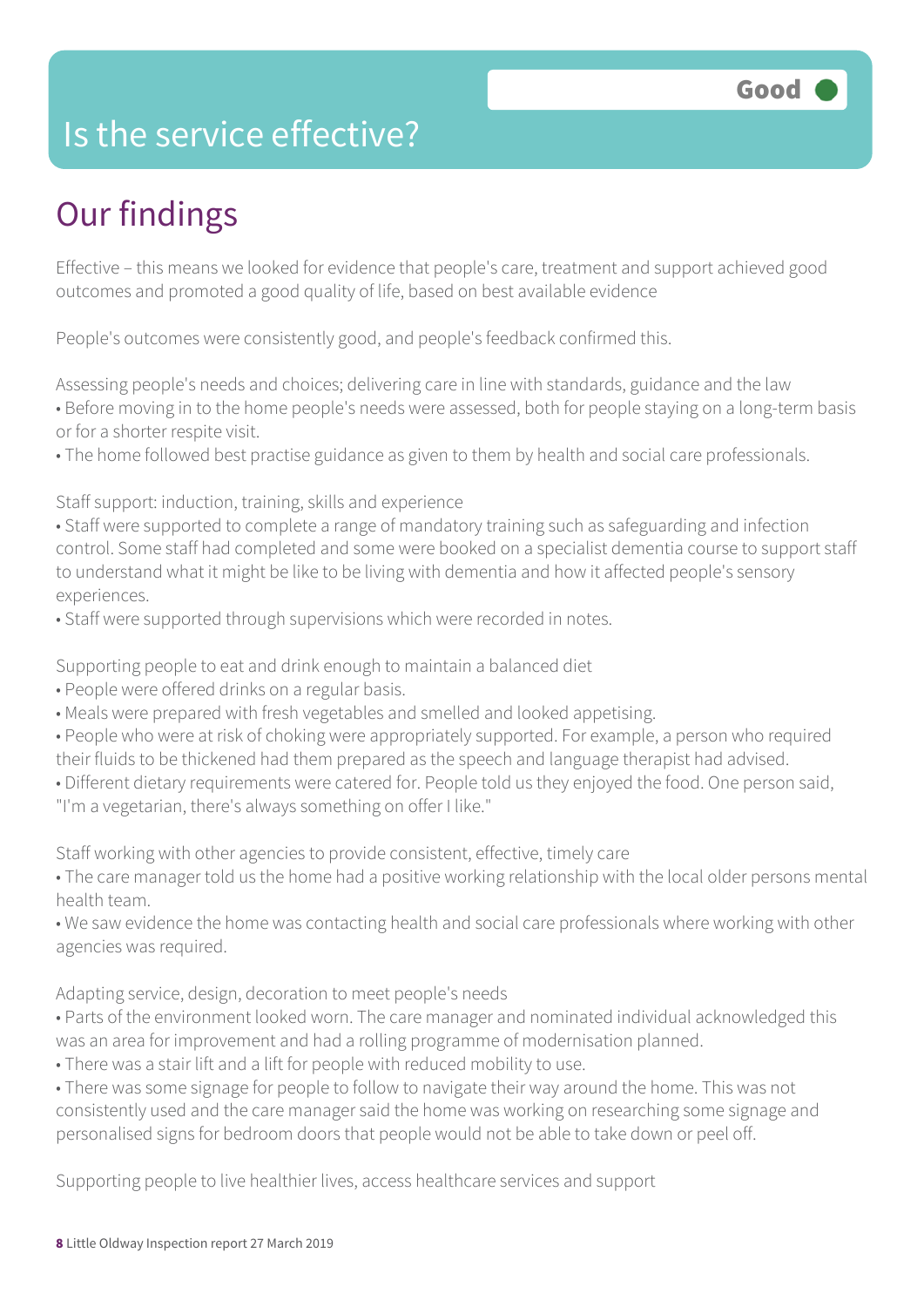### Is the service effective?

### Our findings

Effective – this means we looked for evidence that people's care, treatment and support achieved good outcomes and promoted a good quality of life, based on best available evidence

People's outcomes were consistently good, and people's feedback confirmed this.

Assessing people's needs and choices; delivering care in line with standards, guidance and the law • Before moving in to the home people's needs were assessed, both for people staying on a long-term basis or for a shorter respite visit.

• The home followed best practise guidance as given to them by health and social care professionals.

Staff support: induction, training, skills and experience

• Staff were supported to complete a range of mandatory training such as safeguarding and infection control. Some staff had completed and some were booked on a specialist dementia course to support staff to understand what it might be like to be living with dementia and how it affected people's sensory experiences.

• Staff were supported through supervisions which were recorded in notes.

Supporting people to eat and drink enough to maintain a balanced diet

• People were offered drinks on a regular basis.

• Meals were prepared with fresh vegetables and smelled and looked appetising.

• People who were at risk of choking were appropriately supported. For example, a person who required their fluids to be thickened had them prepared as the speech and language therapist had advised.

• Different dietary requirements were catered for. People told us they enjoyed the food. One person said,

"I'm a vegetarian, there's always something on offer I like."

Staff working with other agencies to provide consistent, effective, timely care

• The care manager told us the home had a positive working relationship with the local older persons mental health team.

• We saw evidence the home was contacting health and social care professionals where working with other agencies was required.

Adapting service, design, decoration to meet people's needs

• Parts of the environment looked worn. The care manager and nominated individual acknowledged this was an area for improvement and had a rolling programme of modernisation planned.

• There was a stair lift and a lift for people with reduced mobility to use.

• There was some signage for people to follow to navigate their way around the home. This was not consistently used and the care manager said the home was working on researching some signage and personalised signs for bedroom doors that people would not be able to take down or peel off.

Supporting people to live healthier lives, access healthcare services and support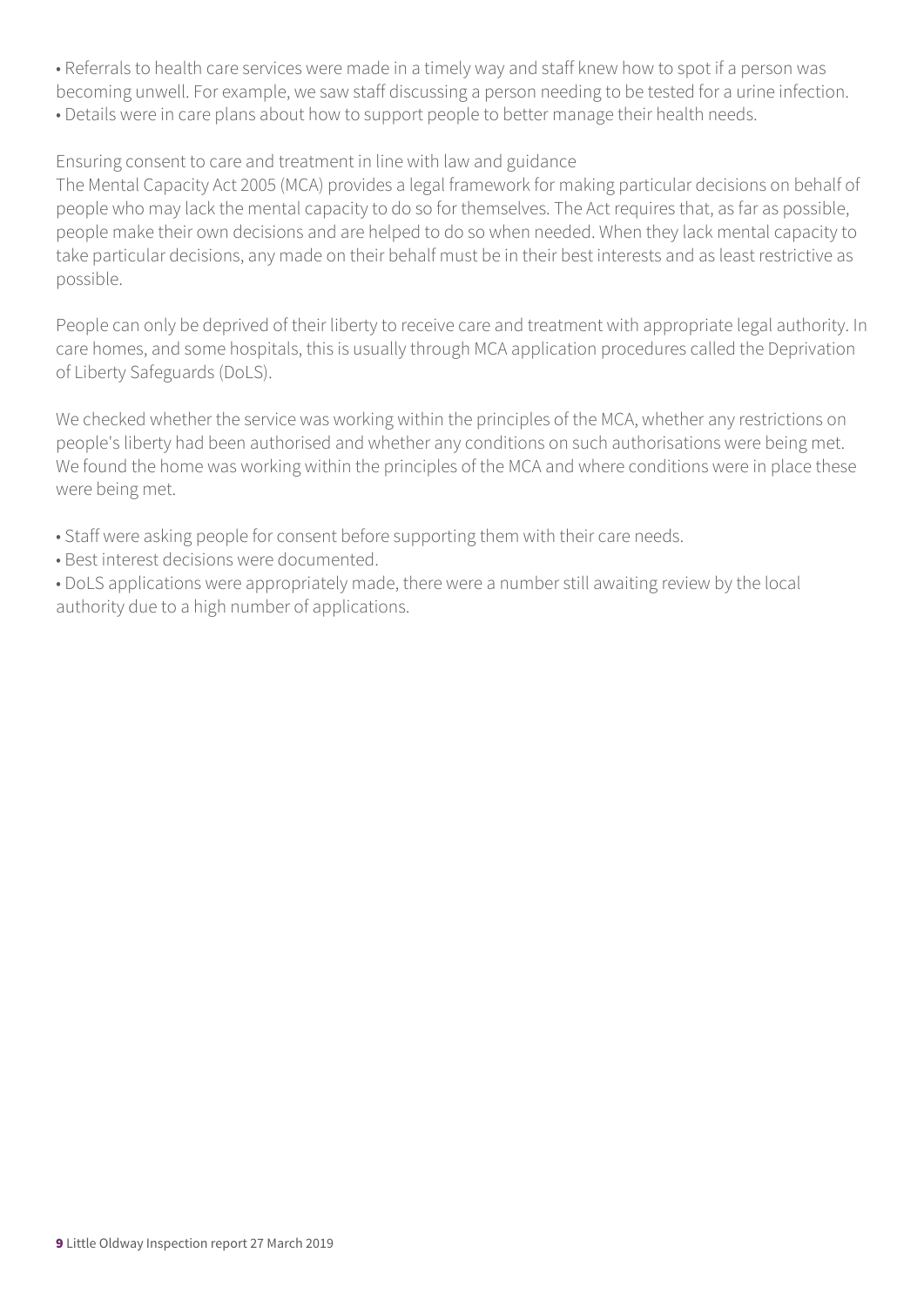• Referrals to health care services were made in a timely way and staff knew how to spot if a person was becoming unwell. For example, we saw staff discussing a person needing to be tested for a urine infection. • Details were in care plans about how to support people to better manage their health needs.

#### Ensuring consent to care and treatment in line with law and guidance

The Mental Capacity Act 2005 (MCA) provides a legal framework for making particular decisions on behalf of people who may lack the mental capacity to do so for themselves. The Act requires that, as far as possible, people make their own decisions and are helped to do so when needed. When they lack mental capacity to take particular decisions, any made on their behalf must be in their best interests and as least restrictive as possible.

People can only be deprived of their liberty to receive care and treatment with appropriate legal authority. In care homes, and some hospitals, this is usually through MCA application procedures called the Deprivation of Liberty Safeguards (DoLS).

We checked whether the service was working within the principles of the MCA, whether any restrictions on people's liberty had been authorised and whether any conditions on such authorisations were being met. We found the home was working within the principles of the MCA and where conditions were in place these were being met.

- Staff were asking people for consent before supporting them with their care needs.
- Best interest decisions were documented.

• DoLS applications were appropriately made, there were a number still awaiting review by the local authority due to a high number of applications.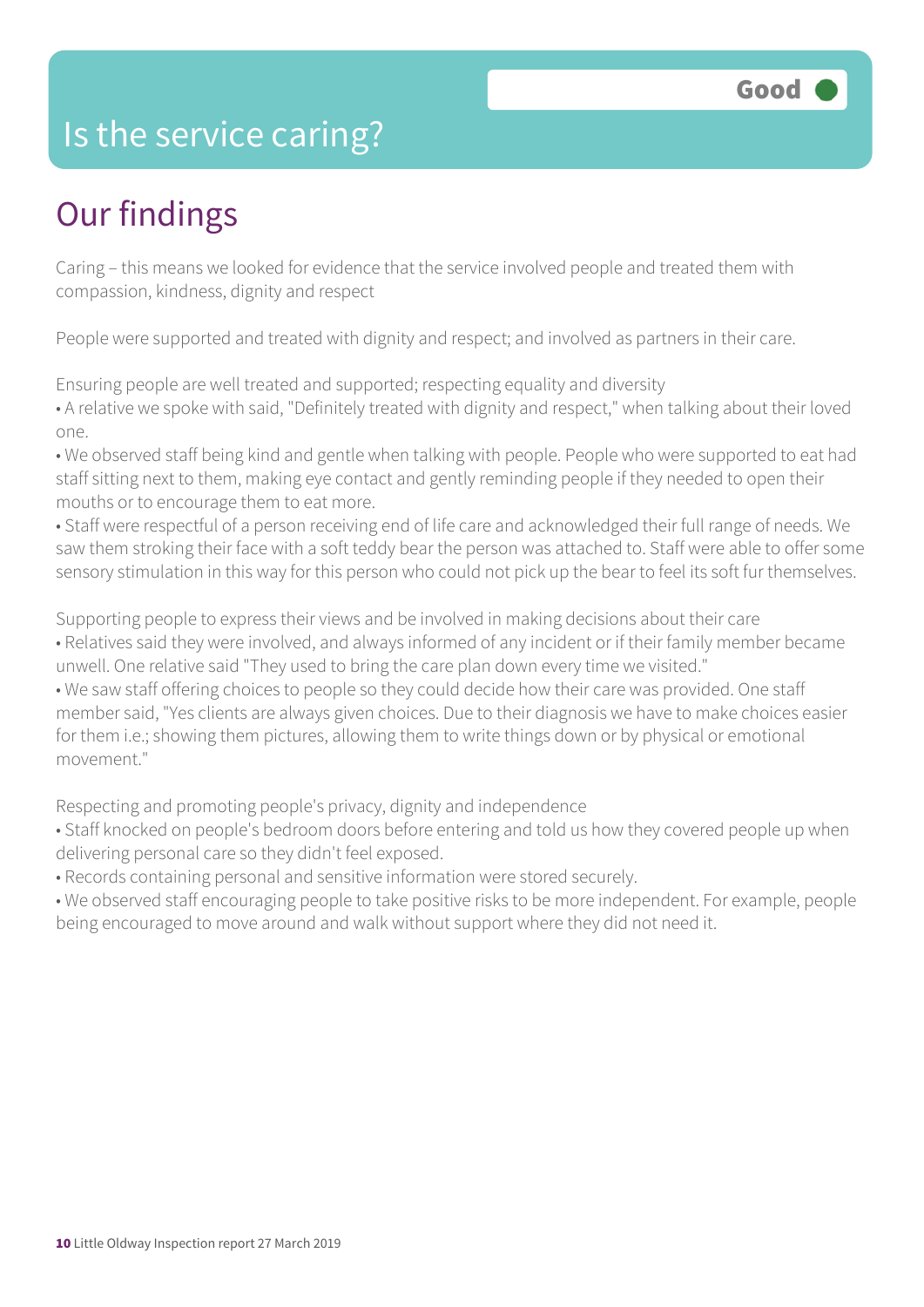### Is the service caring?

### Our findings

Caring – this means we looked for evidence that the service involved people and treated them with compassion, kindness, dignity and respect

People were supported and treated with dignity and respect; and involved as partners in their care.

Ensuring people are well treated and supported; respecting equality and diversity

• A relative we spoke with said, "Definitely treated with dignity and respect," when talking about their loved one.

• We observed staff being kind and gentle when talking with people. People who were supported to eat had staff sitting next to them, making eye contact and gently reminding people if they needed to open their mouths or to encourage them to eat more.

• Staff were respectful of a person receiving end of life care and acknowledged their full range of needs. We saw them stroking their face with a soft teddy bear the person was attached to. Staff were able to offer some sensory stimulation in this way for this person who could not pick up the bear to feel its soft fur themselves.

Supporting people to express their views and be involved in making decisions about their care • Relatives said they were involved, and always informed of any incident or if their family member became

unwell. One relative said "They used to bring the care plan down every time we visited."

• We saw staff offering choices to people so they could decide how their care was provided. One staff member said, "Yes clients are always given choices. Due to their diagnosis we have to make choices easier for them i.e.; showing them pictures, allowing them to write things down or by physical or emotional movement."

Respecting and promoting people's privacy, dignity and independence

- Staff knocked on people's bedroom doors before entering and told us how they covered people up when delivering personal care so they didn't feel exposed.
- Records containing personal and sensitive information were stored securely.
- We observed staff encouraging people to take positive risks to be more independent. For example, people being encouraged to move around and walk without support where they did not need it.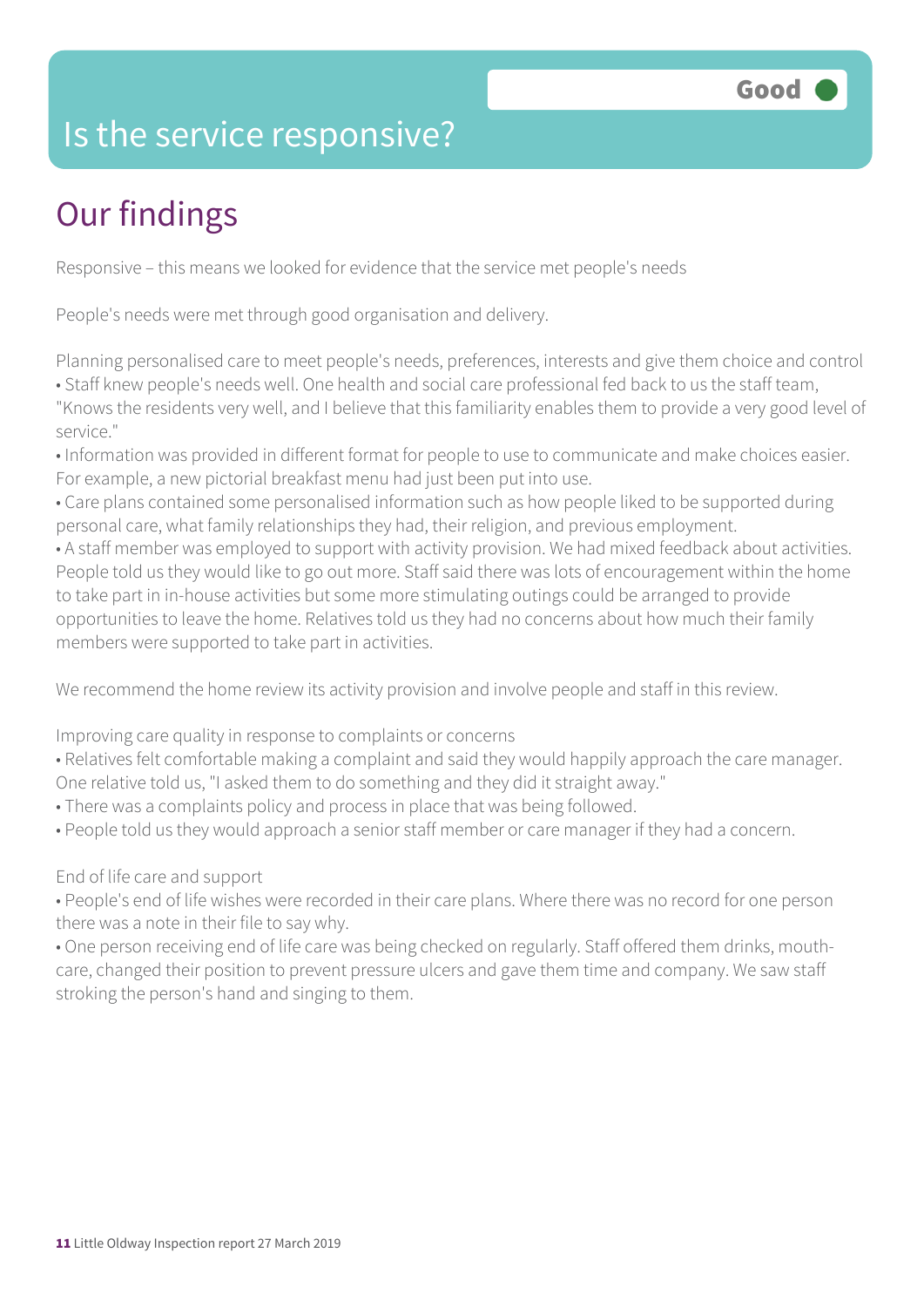### Is the service responsive?

### Our findings

Responsive – this means we looked for evidence that the service met people's needs

People's needs were met through good organisation and delivery.

Planning personalised care to meet people's needs, preferences, interests and give them choice and control

• Staff knew people's needs well. One health and social care professional fed back to us the staff team,

"Knows the residents very well, and I believe that this familiarity enables them to provide a very good level of service."

• Information was provided in different format for people to use to communicate and make choices easier. For example, a new pictorial breakfast menu had just been put into use.

• Care plans contained some personalised information such as how people liked to be supported during personal care, what family relationships they had, their religion, and previous employment.

• A staff member was employed to support with activity provision. We had mixed feedback about activities. People told us they would like to go out more. Staff said there was lots of encouragement within the home to take part in in-house activities but some more stimulating outings could be arranged to provide opportunities to leave the home. Relatives told us they had no concerns about how much their family members were supported to take part in activities.

We recommend the home review its activity provision and involve people and staff in this review.

Improving care quality in response to complaints or concerns

• Relatives felt comfortable making a complaint and said they would happily approach the care manager. One relative told us, "I asked them to do something and they did it straight away."

- There was a complaints policy and process in place that was being followed.
- People told us they would approach a senior staff member or care manager if they had a concern.

#### End of life care and support

• People's end of life wishes were recorded in their care plans. Where there was no record for one person there was a note in their file to say why.

• One person receiving end of life care was being checked on regularly. Staff offered them drinks, mouthcare, changed their position to prevent pressure ulcers and gave them time and company. We saw staff stroking the person's hand and singing to them.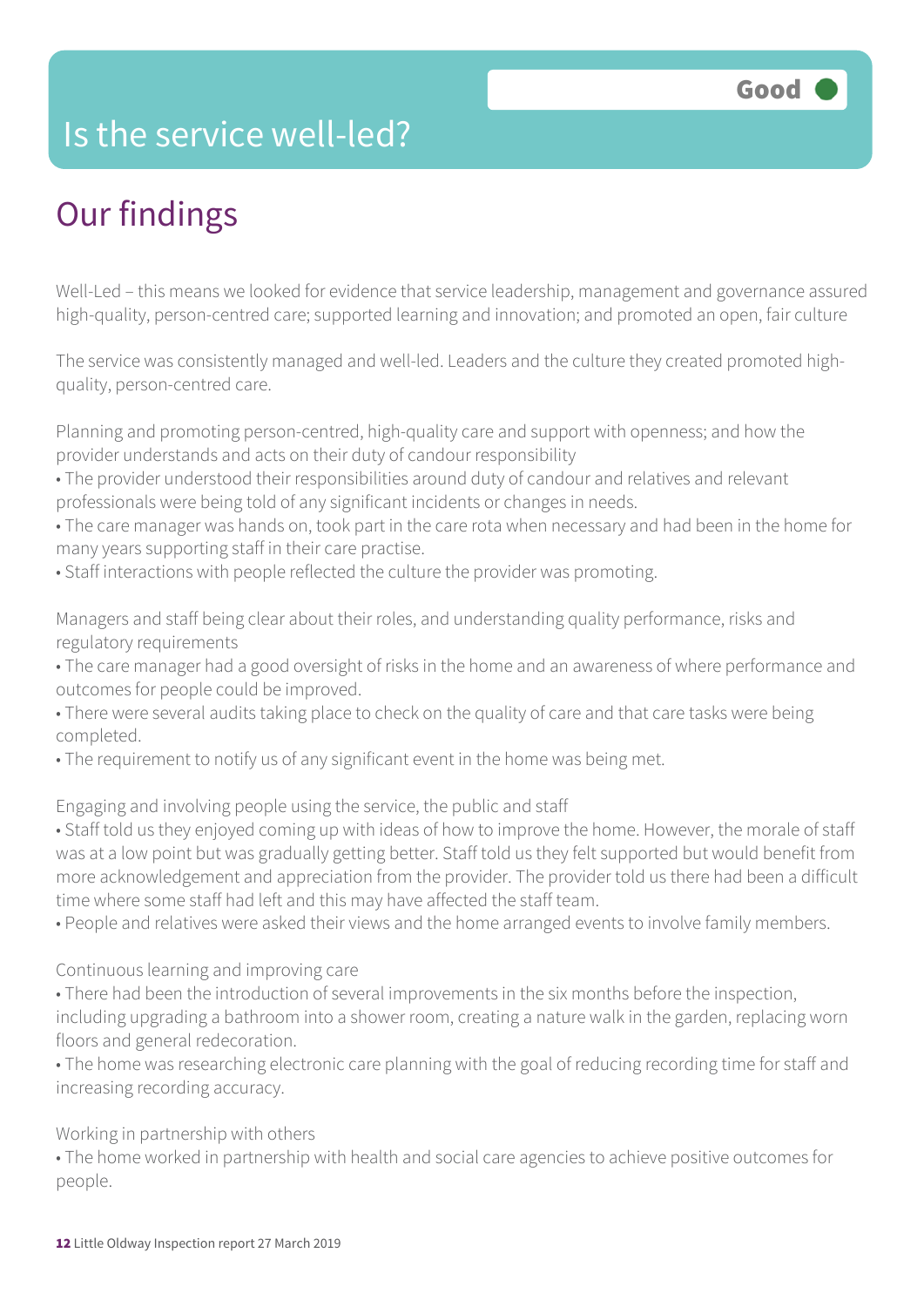### Is the service well-led?

### Our findings

Well-Led – this means we looked for evidence that service leadership, management and governance assured high-quality, person-centred care; supported learning and innovation; and promoted an open, fair culture

The service was consistently managed and well-led. Leaders and the culture they created promoted highquality, person-centred care.

Planning and promoting person-centred, high-quality care and support with openness; and how the provider understands and acts on their duty of candour responsibility

- The provider understood their responsibilities around duty of candour and relatives and relevant professionals were being told of any significant incidents or changes in needs.
- The care manager was hands on, took part in the care rota when necessary and had been in the home for many years supporting staff in their care practise.
- Staff interactions with people reflected the culture the provider was promoting.

Managers and staff being clear about their roles, and understanding quality performance, risks and regulatory requirements

- The care manager had a good oversight of risks in the home and an awareness of where performance and outcomes for people could be improved.
- There were several audits taking place to check on the quality of care and that care tasks were being completed.
- The requirement to notify us of any significant event in the home was being met.

Engaging and involving people using the service, the public and staff

• Staff told us they enjoyed coming up with ideas of how to improve the home. However, the morale of staff was at a low point but was gradually getting better. Staff told us they felt supported but would benefit from more acknowledgement and appreciation from the provider. The provider told us there had been a difficult time where some staff had left and this may have affected the staff team.

• People and relatives were asked their views and the home arranged events to involve family members.

Continuous learning and improving care

- There had been the introduction of several improvements in the six months before the inspection, including upgrading a bathroom into a shower room, creating a nature walk in the garden, replacing worn floors and general redecoration.
- The home was researching electronic care planning with the goal of reducing recording time for staff and increasing recording accuracy.

Working in partnership with others

• The home worked in partnership with health and social care agencies to achieve positive outcomes for people.